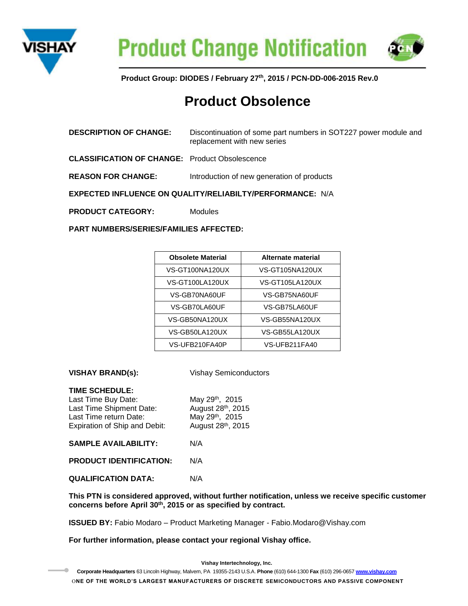



**Product Group: DIODES / February 27th, 2015 / PCN-DD-006-2015 Rev.0**

# **Product Obsolence**

| <b>DESCRIPTION OF CHANGE:</b>                             | Discontinuation of some part numbers in SOT227 power module and<br>replacement with new series |  |
|-----------------------------------------------------------|------------------------------------------------------------------------------------------------|--|
| <b>CLASSIFICATION OF CHANGE:</b> Product Obsolescence     |                                                                                                |  |
| <b>REASON FOR CHANGE:</b>                                 | Introduction of new generation of products                                                     |  |
| EXPECTED INFLUENCE ON QUALITY/RELIABILTY/PERFORMANCE: N/A |                                                                                                |  |
| <b>PRODUCT CATEGORY:</b>                                  | <b>Modules</b>                                                                                 |  |
| <b>PART NUMBERS/SERIES/FAMILIES AFFECTED:</b>             |                                                                                                |  |

| <b>Obsolete Material</b> | Alternate material |
|--------------------------|--------------------|
| VS-GT100NA120UX          | VS-GT105NA120UX    |
| VS-GT100LA120UX          | VS-GT105LA120UX    |
| VS-GB70NA60UF            | VS-GB75NA60UF      |
| VS-GB70LA60UF            | VS-GB75LA60UF      |
| VS-GB50NA120UX           | VS-GB55NA120UX     |
| VS-GB50LA120UX           | VS-GB55LA120UX     |
| VS-UFB210FA40P           | VS-UFB211FA40      |

**VISHAY BRAND(s):** Vishay Semiconductors

## **TIME SCHEDULE:**

 $\bullet$ 

| <b>SAMPLE AVAILABILITY:</b><br>N/A                                                  |                                                          |
|-------------------------------------------------------------------------------------|----------------------------------------------------------|
| Last Time Shipment Date:<br>Last Time return Date:<br>Expiration of Ship and Debit: | August 28th, 2015<br>May 29th, 2015<br>August 28th, 2015 |
| Last Time Buy Date:                                                                 | May 29th, 2015                                           |

**PRODUCT IDENTIFICATION:** N/A

**QUALIFICATION DATA:** N/A

**This PTN is considered approved, without further notification, unless we receive specific customer concerns before April 30th, 2015 or as specified by contract.**

**ISSUED BY:** Fabio Modaro – Product Marketing Manager - Fabio.Modaro@Vishay.com

**For further information, please contact your regional Vishay office.**

**Vishay Intertechnology, Inc. Corporate Headquarters** 63 Lincoln Highway, Malvern, PA 19355-2143 U.S.A. **Phone** (610) 644-1300 **Fax** (610) 296-0657 **[www.vishay.com](http://www.vishay.com/)** O**NE OF THE WORLD'S LARGEST MANUFACTURERS OF DISCRETE SEMICONDUCTORS AND PASSIVE COMPONENT**